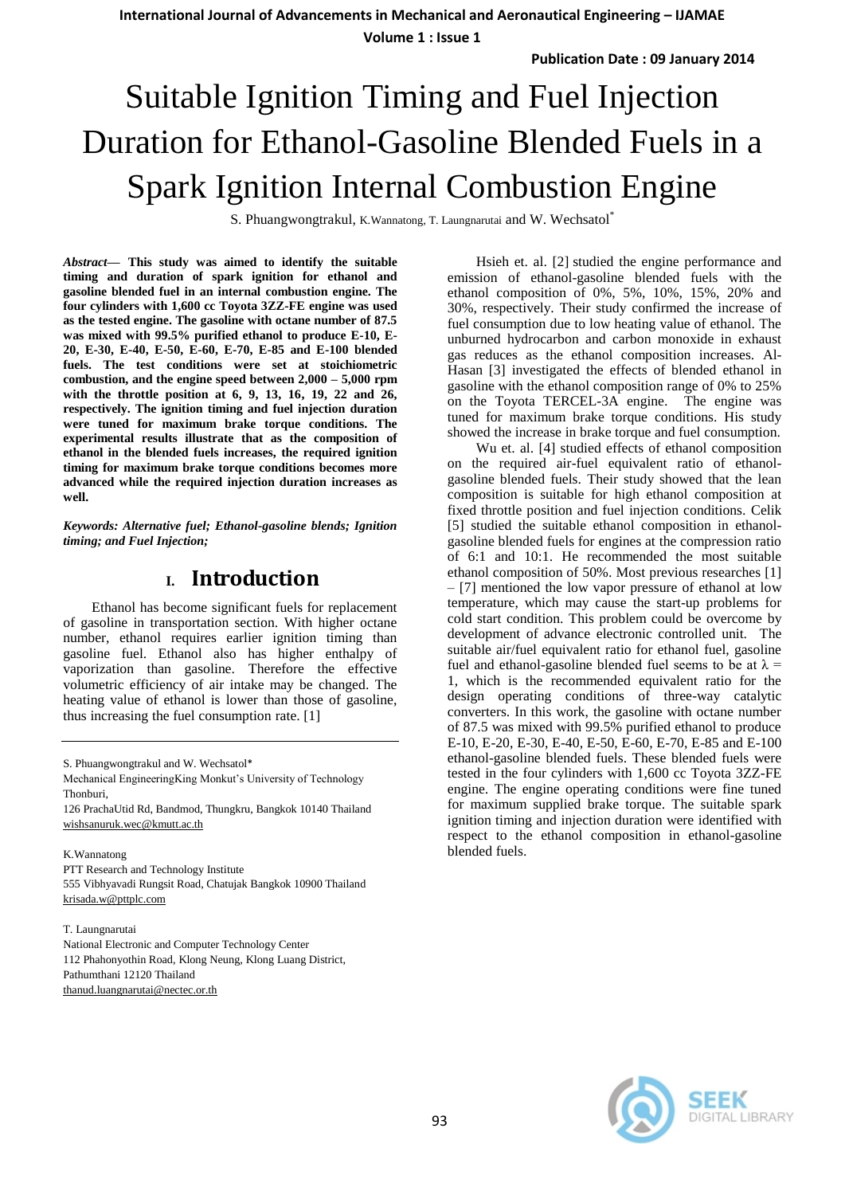**International Journal of Advancements in Mechanical and Aeronautical Engineering – IJAMAE**

**Volume 1 : Issue 1**

# Suitable Ignition Timing and Fuel Injection Duration for Ethanol-Gasoline Blended Fuels in a Spark Ignition Internal Combustion Engine

S. Phuangwongtrakul, K.Wannatong, T. Laungnarutai and W. Wechsatol\*

*Abstract***— This study was aimed to identify the suitable timing and duration of spark ignition for ethanol and gasoline blended fuel in an internal combustion engine. The four cylinders with 1,600 cc Toyota 3ZZ-FE engine was used as the tested engine. The gasoline with octane number of 87.5 was mixed with 99.5% purified ethanol to produce E-10, E-20, E-30, E-40, E-50, E-60, E-70, E-85 and E-100 blended fuels. The test conditions were set at stoichiometric combustion, and the engine speed between 2,000 – 5,000 rpm with the throttle position at 6, 9, 13, 16, 19, 22 and 26, respectively. The ignition timing and fuel injection duration were tuned for maximum brake torque conditions. The experimental results illustrate that as the composition of ethanol in the blended fuels increases, the required ignition timing for maximum brake torque conditions becomes more advanced while the required injection duration increases as well.** 

*Keywords: Alternative fuel; Ethanol-gasoline blends; Ignition timing; and Fuel Injection;* 

### **I. Introduction**

 Ethanol has become significant fuels for replacement of gasoline in transportation section. With higher octane number, ethanol requires earlier ignition timing than gasoline fuel. Ethanol also has higher enthalpy of vaporization than gasoline. Therefore the effective volumetric efficiency of air intake may be changed. The heating value of ethanol is lower than those of gasoline, thus increasing the fuel consumption rate. [1]

126 PrachaUtid Rd, Bandmod, Thungkru, Bangkok 10140 Thailand [wishsanuruk.wec@kmutt.ac.th](mailto:wishsanuruk.wec@kmutt.ac.th)

#### K.Wannatong

PTT Research and Technology Institute 555 Vibhyavadi Rungsit Road, Chatujak Bangkok 10900 Thailand [krisada.w@pttplc.com](mailto:krisada.w@pttplc.com)

T. Laungnarutai

National Electronic and Computer Technology Center 112 Phahonyothin Road, Klong Neung, Klong Luang District, Pathumthani 12120 Thailand [thanud.luangnarutai@nectec.or.th](mailto:thanud.luangnarutai@nectec.or.th)

 Hsieh et. al. [2] studied the engine performance and emission of ethanol-gasoline blended fuels with the ethanol composition of 0%, 5%, 10%, 15%, 20% and 30%, respectively. Their study confirmed the increase of fuel consumption due to low heating value of ethanol. The unburned hydrocarbon and carbon monoxide in exhaust gas reduces as the ethanol composition increases. Al-Hasan [3] investigated the effects of blended ethanol in gasoline with the ethanol composition range of 0% to 25% on the Toyota TERCEL-3A engine. The engine was tuned for maximum brake torque conditions. His study showed the increase in brake torque and fuel consumption.

 Wu et. al. [4] studied effects of ethanol composition on the required air-fuel equivalent ratio of ethanolgasoline blended fuels. Their study showed that the lean composition is suitable for high ethanol composition at fixed throttle position and fuel injection conditions. Celik [5] studied the suitable ethanol composition in ethanolgasoline blended fuels for engines at the compression ratio of 6:1 and 10:1. He recommended the most suitable ethanol composition of 50%. Most previous researches [1] – [7] mentioned the low vapor pressure of ethanol at low temperature, which may cause the start-up problems for cold start condition. This problem could be overcome by development of advance electronic controlled unit. The suitable air/fuel equivalent ratio for ethanol fuel, gasoline fuel and ethanol-gasoline blended fuel seems to be at  $\lambda$  = 1, which is the recommended equivalent ratio for the design operating conditions of three-way catalytic converters. In this work, the gasoline with octane number of 87.5 was mixed with 99.5% purified ethanol to produce E-10, E-20, E-30, E-40, E-50, E-60, E-70, E-85 and E-100 ethanol-gasoline blended fuels. These blended fuels were tested in the four cylinders with 1,600 cc Toyota 3ZZ-FE engine. The engine operating conditions were fine tuned for maximum supplied brake torque. The suitable spark ignition timing and injection duration were identified with respect to the ethanol composition in ethanol-gasoline blended fuels.



S. Phuangwongtrakul and W. Wechsatol\*

Mechanical EngineeringKing Monkut's University of Technology Thonburi,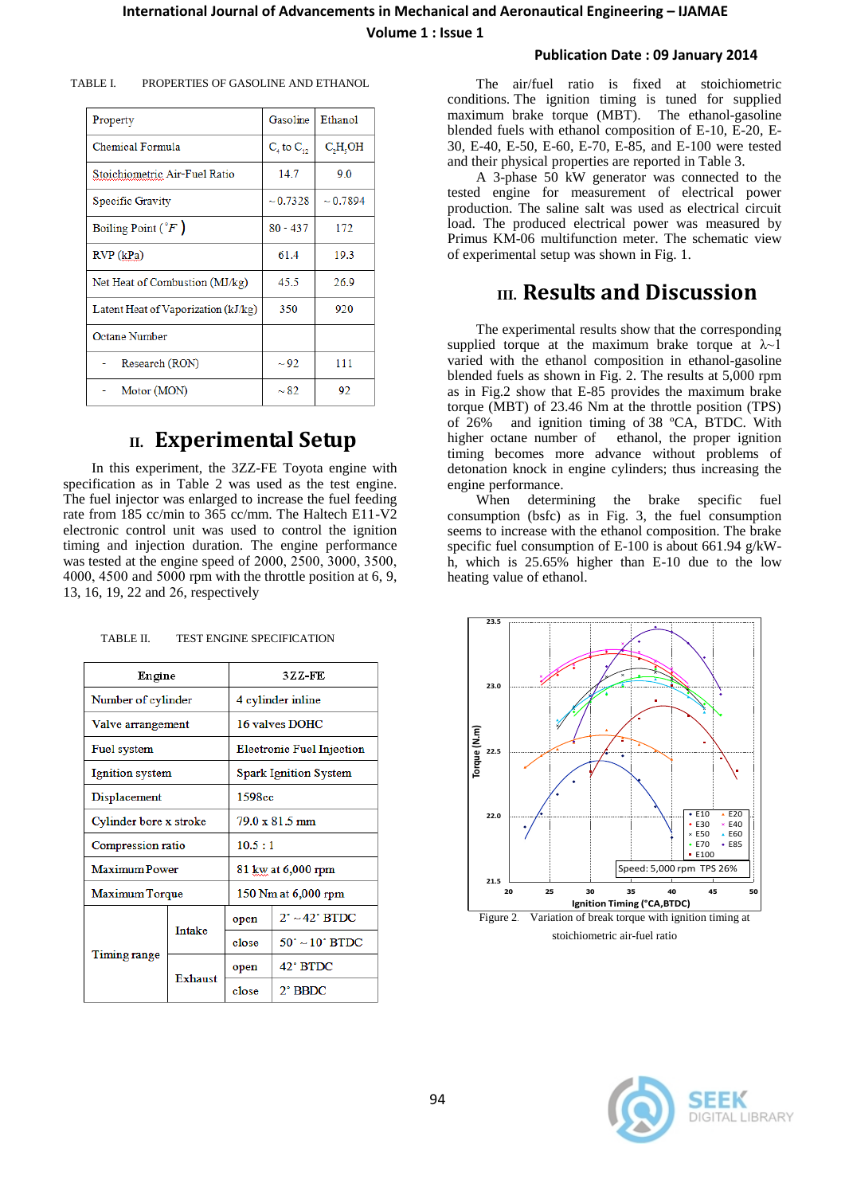**Volume 1 : Issue 1**

#### **Publication Date : 09 January 2014**

| Property                            | Gasoline          | <b>Ethanol</b> |  |  |
|-------------------------------------|-------------------|----------------|--|--|
| Chemical Formula                    | $C_4$ to $C_{12}$ | $C_2H_3OH$     |  |  |
| Stoichiometric Air-Fuel Ratio       | 14.7              | 9.0            |  |  |
| Specific Gravity                    | $\sim 0.7328$     | $\sim 0.7894$  |  |  |
| Boiling Point $({}^{\circ}F)$       | $80 - 437$        | 172            |  |  |
| RVP(kPa)                            | 61.4              | 19.3           |  |  |
| Net Heat of Combustion (MJ/kg)      | 45.5              | 26.9           |  |  |
| Latent Heat of Vaporization (kJ/kg) | 350               | 920            |  |  |
| Octane Number                       |                   |                |  |  |
| Research (RON)                      | $\sim$ 92         | 111            |  |  |
| Motor (MON)                         | $\sim$ 82         | 92             |  |  |

TABLE I. PROPERTIES OF GASOLINE AND ETHANOL

## **II. Experimental Setup**

 In this experiment, the 3ZZ-FE Toyota engine with specification as in Table 2 was used as the test engine. The fuel injector was enlarged to increase the fuel feeding rate from 185 cc/min to 365 cc/mm. The Haltech E11-V2 electronic control unit was used to control the ignition timing and injection duration. The engine performance was tested at the engine speed of 2000, 2500, 3000, 3500, 4000, 4500 and 5000 rpm with the throttle position at 6, 9, 13, 16, 19, 22 and 26, respectively

| TABLE II. |  | <b>TEST ENGINE SPECIFICATION</b> |
|-----------|--|----------------------------------|
|           |  |                                  |

| Engine                 |                | 3ZZ-FE                           |                               |  |  |
|------------------------|----------------|----------------------------------|-------------------------------|--|--|
| Number of cylinder     |                | 4 cylinder inline                |                               |  |  |
| Valve arrangement      |                | 16 valves DOHC                   |                               |  |  |
| Fuel system            |                | <b>Electronic Fuel Injection</b> |                               |  |  |
| Ignition system        |                | <b>Spark Ignition System</b>     |                               |  |  |
| Displacement           |                | 1598cc                           |                               |  |  |
| Cylinder bore x stroke |                | $79.0 \times 81.5$ mm            |                               |  |  |
| Compression ratio      |                | 10.5:1                           |                               |  |  |
| Maximum Power          |                | 81 kw at 6,000 rpm               |                               |  |  |
| Maximum Torque         |                | 150 Nm at 6,000 rpm              |                               |  |  |
| Timing range           | <b>Intake</b>  | open                             | $2^\circ \sim 42^\circ$ BTDC  |  |  |
|                        |                | close                            | $50^\circ \sim 10^\circ$ BTDC |  |  |
|                        | <b>Exhaust</b> | open                             | 42° BTDC                      |  |  |
|                        |                | close                            | $2^{\circ}$ BBDC              |  |  |

 The air/fuel ratio is fixed at stoichiometric conditions. The ignition timing is tuned for supplied maximum brake torque (MBT). The ethanol-gasoline blended fuels with ethanol composition of E-10, E-20, E-30, E-40, E-50, E-60, E-70, E-85, and E-100 were tested and their physical properties are reported in Table 3.

A 3-phase 50 kW generator was connected to the tested engine for measurement of electrical power production. The saline salt was used as electrical circuit load. The produced electrical power was measured by Primus KM-06 multifunction meter. The schematic view of experimental setup was shown in Fig. 1.

## **III. Results and Discussion**

 The experimental results show that the corresponding supplied torque at the maximum brake torque at  $\lambda$ -1 varied with the ethanol composition in ethanol-gasoline blended fuels as shown in Fig. 2. The results at 5,000 rpm as in Fig.2 show that E-85 provides the maximum brake torque (MBT) of 23.46 Nm at the throttle position (TPS) of 26% and ignition timing of 38 ºCA, BTDC. With higher octane number of ethanol, the proper ignition timing becomes more advance without problems of detonation knock in engine cylinders; thus increasing the engine performance.

 When determining the brake specific fuel consumption (bsfc) as in Fig. 3, the fuel consumption seems to increase with the ethanol composition. The brake specific fuel consumption of E-100 is about 661.94 g/kWh, which is 25.65% higher than E-10 due to the low heating value of ethanol.



DIGITAL LIBRARY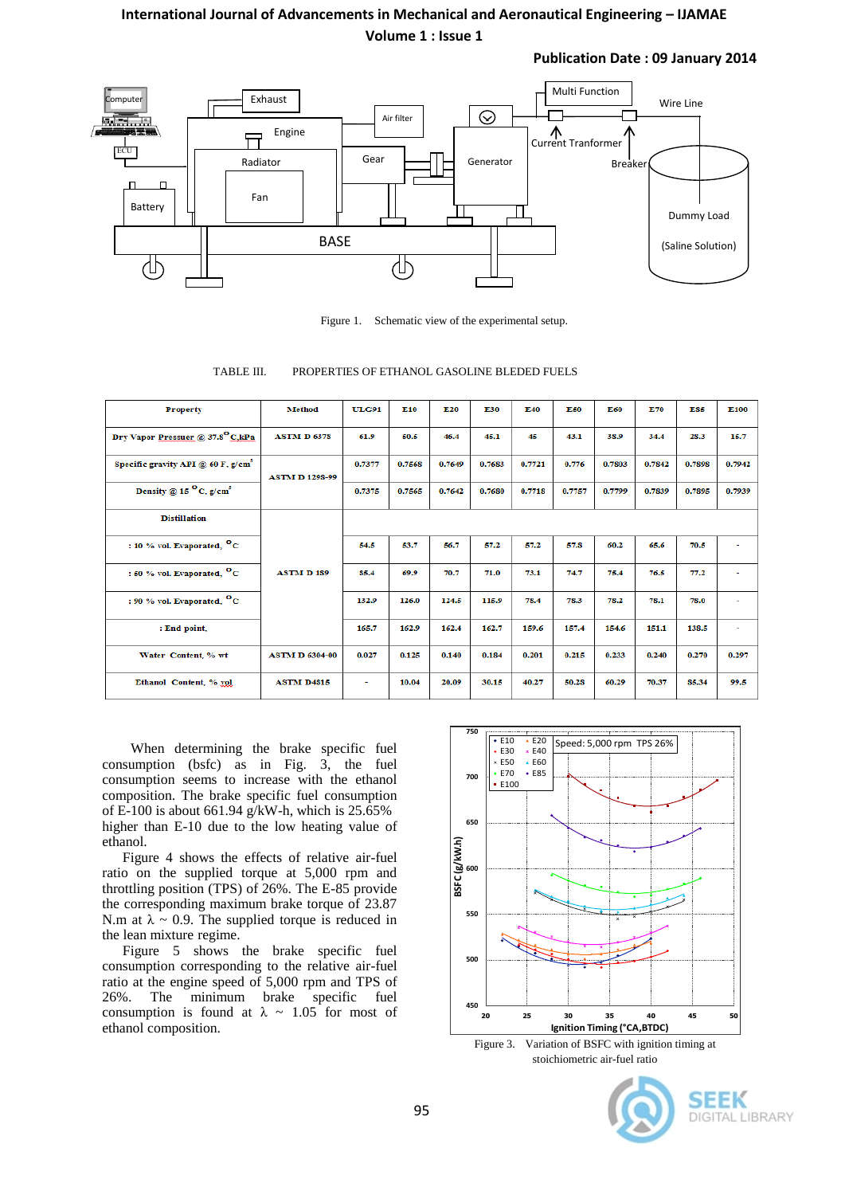#### **International Journal of Advancements in Mechanical and Aeronautical Engineering – IJAMAE Volume 1 : Issue 1**

**Publication Date : 09 January 2014**



Figure 1. Schematic view of the experimental setup.

TABLE III. PROPERTIES OF ETHANOL GASOLINE BLEDED FUELS

| <b>Property</b>                              | <b>Method</b>         | <b>ULG91</b> | E <sub>10</sub> | E20    | E30    | E40    | E50    | E60    | E70    | ES5    | E100   |
|----------------------------------------------|-----------------------|--------------|-----------------|--------|--------|--------|--------|--------|--------|--------|--------|
| Dry Vapor Pressuer @ 37.8 <sup>°</sup> C.kPa | <b>ASTM D 6378</b>    | 61.9         | 50.5            | 46.4   | 45.1   | 45     | 43.1   | 38.9   | 34.4   | 28.3   | 15.7   |
| Specific gravity API $@$ 60 F, $g/cm3$       | <b>ASTM D 1298-99</b> | 0.7377       | 0.7568          | 0.7649 | 0.7683 | 0.7721 | 0.776  | 0.7803 | 0.7842 | 0.7898 | 0.7942 |
| Density @ 15 $^{\circ}$ C, g/cm <sup>3</sup> |                       | 0.7375       | 0.7565          | 0.7642 | 0.7680 | 0.7718 | 0.7757 | 0.7799 | 0.7839 | 0.7895 | 0.7939 |
| <b>Distillation</b>                          | <b>ASTM D189</b>      |              |                 |        |        |        |        |        |        |        |        |
| : 10 % vol. Evaporated, $^{\circ}$ C         |                       | 54.5         | 53.7            | 56.7   | 57.2   | 57.2   | 57.8   | 60.2   | 65.6   | 70.5   | $\sim$ |
| : 50 % vol. Evaporated, <sup>O</sup> C       |                       | 85.4         | 69.9            | 70.7   | 71.0   | 73.1   | 74.7   | 75.4   | 76.5   | 77.2   | ٠      |
| : 90 % vol. Evaporated, <sup>O</sup> C       |                       | 132.9        | 126.0           | 124.5  | 115.9  | 78.4   | 78.3   | 78.2   | 78.1   | 78.0   | ٠      |
| : End point.                                 |                       | 165.7        | 162.9           | 162.4  | 162.7  | 159.6  | 157.4  | 154.6  | 151.1  | 138.5  | ٠      |
| Water Content, % wt                          | <b>ASTM D 6304-00</b> | 0.027        | 0.125           | 0.140  | 0.184  | 0.201  | 0.215  | 0.233  | 0.240  | 0.270  | 0.297  |
| Ethanol Content, % vol                       | <b>ASTM D4815</b>     | $\sim$       | 10.04           | 20.09  | 30.15  | 40.27  | 50.28  | 60.29  | 70.37  | 85.34  | 99.5   |

 When determining the brake specific fuel consumption (bsfc) as in Fig. 3, the fuel consumption seems to increase with the ethanol composition. The brake specific fuel consumption of E-100 is about 661.94 g/kW-h, which is  $25.65\%$ higher than E-10 due to the low heating value of ethanol.

Figure 4 shows the effects of relative air-fuel ratio on the supplied torque at 5,000 rpm and throttling position (TPS) of 26%. The E-85 provide the corresponding maximum brake torque of 23.87 N.m at  $\lambda \sim 0.9$ . The supplied torque is reduced in the lean mixture regime.

Figure 5 shows the brake specific fuel consumption corresponding to the relative air-fuel ratio at the engine speed of 5,000 rpm and TPS of 26%. The minimum brake specific fuel consumption is found at  $\lambda \sim 1.05$  for most of ethanol composition.